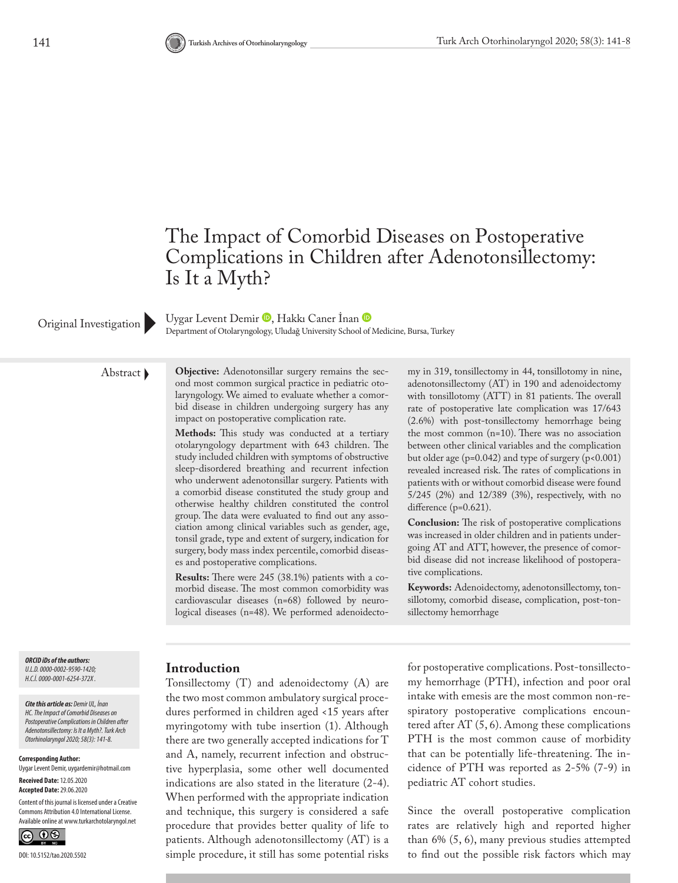

UygarLevent Demir <sup>(D</sup>, Hakkı Caner İnan <sup>(D</sup> Original Investigation Department of Otolaryngology, Uludağ University School of Medicine, Bursa, Turkey

Abstract **Objective:** Adenotonsillar surgery remains the second most common surgical practice in pediatric otolaryngology. We aimed to evaluate whether a comorbid disease in children undergoing surgery has any impact on postoperative complication rate.

> **Methods:** This study was conducted at a tertiary otolaryngology department with 643 children. The study included children with symptoms of obstructive sleep-disordered breathing and recurrent infection who underwent adenotonsillar surgery. Patients with a comorbid disease constituted the study group and otherwise healthy children constituted the control group. The data were evaluated to find out any association among clinical variables such as gender, age, tonsil grade, type and extent of surgery, indication for surgery, body mass index percentile, comorbid diseases and postoperative complications.

**Results:** There were 245 (38.1%) patients with a comorbid disease. The most common comorbidity was cardiovascular diseases (n=68) followed by neurological diseases (n=48). We performed adenoidectomy in 319, tonsillectomy in 44, tonsillotomy in nine, adenotonsillectomy (AT) in 190 and adenoidectomy with tonsillotomy (ATT) in 81 patients. The overall rate of postoperative late complication was 17/643 (2.6%) with post-tonsillectomy hemorrhage being the most common (n=10). There was no association between other clinical variables and the complication but older age ( $p=0.042$ ) and type of surgery ( $p<0.001$ ) revealed increased risk. The rates of complications in patients with or without comorbid disease were found 5/245 (2%) and 12/389 (3%), respectively, with no difference (p=0.621).

**Conclusion:** The risk of postoperative complications was increased in older children and in patients undergoing AT and ATT, however, the presence of comorbid disease did not increase likelihood of postoperative complications.

**Keywords:** Adenoidectomy, adenotonsillectomy, tonsillotomy, comorbid disease, complication, post-tonsillectomy hemorrhage

*ORCID iDs of the authors: U.L.D. 0000-0002-9590-1420; H.C.İ. 0000-0001-6254-372X .*

*Cite this article as: Demir UL, İnan HC. The Impact of Comorbid Diseases on Postoperative Complications in Children after Adenotonsillectomy: Is It a Myth?. Turk Arch Otorhinolaryngol 2020; 58(3): 141-8.*

**Corresponding Author:** 

Uygar Levent Demir, uygardemir@hotmail.com **Received Date:** 12.05.2020

**Accepted Date:** 29.06.2020

Content of this journal is licensed under a Creative Commons Attribution 4.0 International License. Available online at www.turkarchotolaryngol.net



#### **Introduction**

Tonsillectomy (T) and adenoidectomy (A) are the two most common ambulatory surgical procedures performed in children aged <15 years after myringotomy with tube insertion (1). Although there are two generally accepted indications for T and A, namely, recurrent infection and obstructive hyperplasia, some other well documented indications are also stated in the literature (2-4). When performed with the appropriate indication and technique, this surgery is considered a safe procedure that provides better quality of life to patients. Although adenotonsillectomy (AT) is a simple procedure, it still has some potential risks

for postoperative complications. Post-tonsillectomy hemorrhage (PTH), infection and poor oral intake with emesis are the most common non-respiratory postoperative complications encountered after AT (5, 6). Among these complications PTH is the most common cause of morbidity that can be potentially life-threatening. The incidence of PTH was reported as 2-5% (7-9) in pediatric AT cohort studies.

Since the overall postoperative complication rates are relatively high and reported higher than 6% (5, 6), many previous studies attempted to find out the possible risk factors which may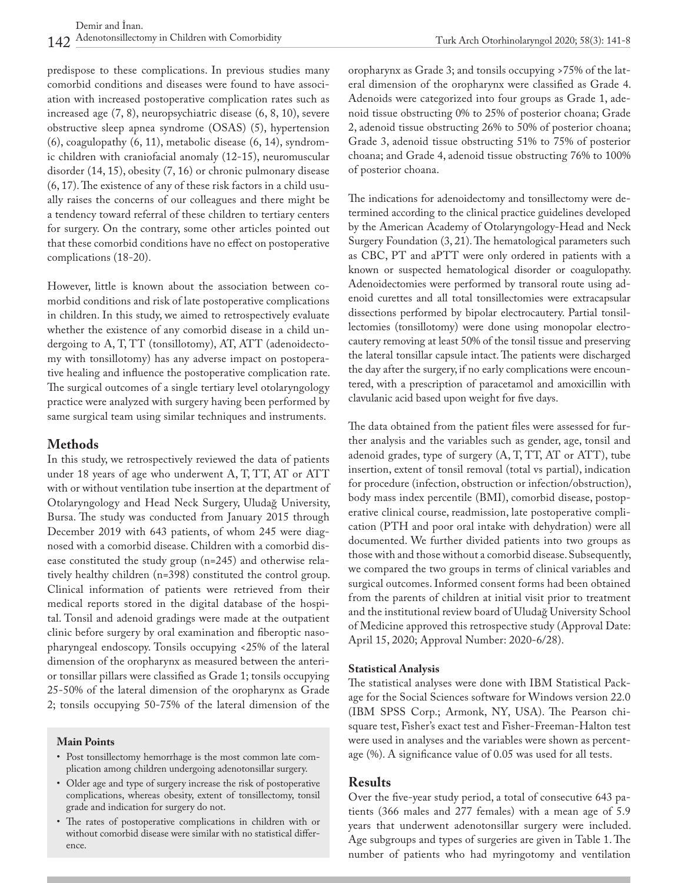predispose to these complications. In previous studies many comorbid conditions and diseases were found to have association with increased postoperative complication rates such as increased age (7, 8), neuropsychiatric disease (6, 8, 10), severe obstructive sleep apnea syndrome (OSAS) (5), hypertension (6), coagulopathy (6, 11), metabolic disease (6, 14), syndromic children with craniofacial anomaly (12-15), neuromuscular disorder (14, 15), obesity (7, 16) or chronic pulmonary disease (6, 17). The existence of any of these risk factors in a child usually raises the concerns of our colleagues and there might be a tendency toward referral of these children to tertiary centers for surgery. On the contrary, some other articles pointed out that these comorbid conditions have no effect on postoperative complications (18-20).

However, little is known about the association between comorbid conditions and risk of late postoperative complications in children. In this study, we aimed to retrospectively evaluate whether the existence of any comorbid disease in a child undergoing to A, T, TT (tonsillotomy), AT, ATT (adenoidectomy with tonsillotomy) has any adverse impact on postoperative healing and influence the postoperative complication rate. The surgical outcomes of a single tertiary level otolaryngology practice were analyzed with surgery having been performed by same surgical team using similar techniques and instruments.

## **Methods**

In this study, we retrospectively reviewed the data of patients under 18 years of age who underwent A, T, TT, AT or ATT with or without ventilation tube insertion at the department of Otolaryngology and Head Neck Surgery, Uludağ University, Bursa. The study was conducted from January 2015 through December 2019 with 643 patients, of whom 245 were diagnosed with a comorbid disease. Children with a comorbid disease constituted the study group (n=245) and otherwise relatively healthy children (n=398) constituted the control group. Clinical information of patients were retrieved from their medical reports stored in the digital database of the hospital. Tonsil and adenoid gradings were made at the outpatient clinic before surgery by oral examination and fiberoptic nasopharyngeal endoscopy. Tonsils occupying <25% of the lateral dimension of the oropharynx as measured between the anterior tonsillar pillars were classified as Grade 1; tonsils occupying 25-50% of the lateral dimension of the oropharynx as Grade 2; tonsils occupying 50-75% of the lateral dimension of the

### **Main Points**

- Post tonsillectomy hemorrhage is the most common late complication among children undergoing adenotonsillar surgery.
- Older age and type of surgery increase the risk of postoperative complications, whereas obesity, extent of tonsillectomy, tonsil grade and indication for surgery do not.
- The rates of postoperative complications in children with or without comorbid disease were similar with no statistical difference.

oropharynx as Grade 3; and tonsils occupying >75% of the lateral dimension of the oropharynx were classified as Grade 4. Adenoids were categorized into four groups as Grade 1, adenoid tissue obstructing 0% to 25% of posterior choana; Grade 2, adenoid tissue obstructing 26% to 50% of posterior choana; Grade 3, adenoid tissue obstructing 51% to 75% of posterior choana; and Grade 4, adenoid tissue obstructing 76% to 100% of posterior choana.

The indications for adenoidectomy and tonsillectomy were determined according to the clinical practice guidelines developed by the American Academy of Otolaryngology-Head and Neck Surgery Foundation (3, 21). The hematological parameters such as CBC, PT and aPTT were only ordered in patients with a known or suspected hematological disorder or coagulopathy. Adenoidectomies were performed by transoral route using adenoid curettes and all total tonsillectomies were extracapsular dissections performed by bipolar electrocautery. Partial tonsillectomies (tonsillotomy) were done using monopolar electrocautery removing at least 50% of the tonsil tissue and preserving the lateral tonsillar capsule intact. The patients were discharged the day after the surgery, if no early complications were encountered, with a prescription of paracetamol and amoxicillin with clavulanic acid based upon weight for five days.

The data obtained from the patient files were assessed for further analysis and the variables such as gender, age, tonsil and adenoid grades, type of surgery (A, T, TT, AT or ATT), tube insertion, extent of tonsil removal (total vs partial), indication for procedure (infection, obstruction or infection/obstruction), body mass index percentile (BMI), comorbid disease, postoperative clinical course, readmission, late postoperative complication (PTH and poor oral intake with dehydration) were all documented. We further divided patients into two groups as those with and those without a comorbid disease. Subsequently, we compared the two groups in terms of clinical variables and surgical outcomes. Informed consent forms had been obtained from the parents of children at initial visit prior to treatment and the institutional review board of Uludağ University School of Medicine approved this retrospective study (Approval Date: April 15, 2020; Approval Number: 2020-6/28).

### **Statistical Analysis**

The statistical analyses were done with IBM Statistical Package for the Social Sciences software for Windows version 22.0 (IBM SPSS Corp.; Armonk, NY, USA). The Pearson chisquare test, Fisher's exact test and Fisher-Freeman-Halton test were used in analyses and the variables were shown as percentage (%). A significance value of 0.05 was used for all tests.

### **Results**

Over the five-year study period, a total of consecutive 643 patients (366 males and 277 females) with a mean age of 5.9 years that underwent adenotonsillar surgery were included. Age subgroups and types of surgeries are given in Table 1. The number of patients who had myringotomy and ventilation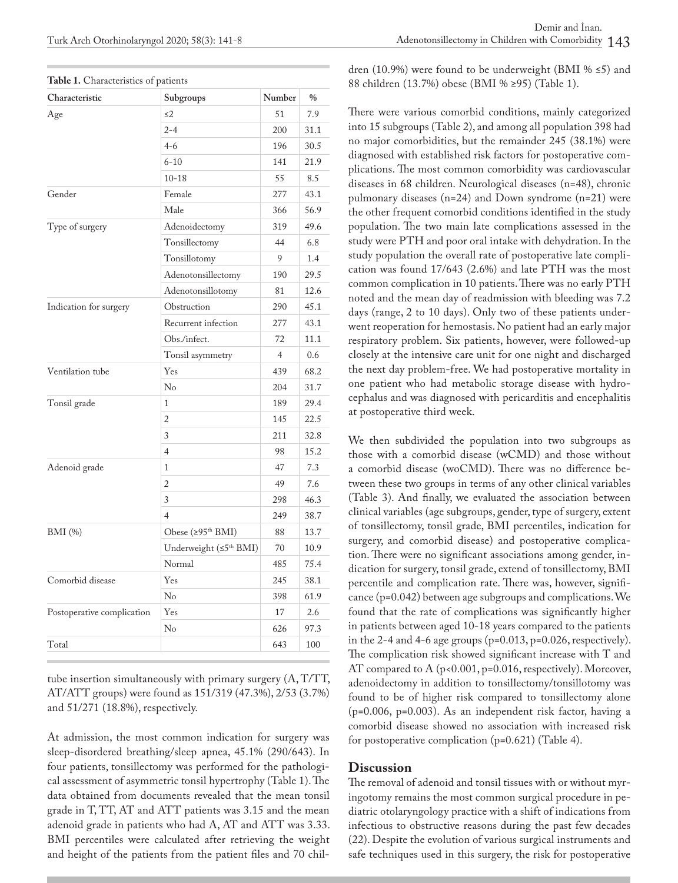| Characteristic             | Subgroups                          | Number         | $\frac{0}{0}$ |
|----------------------------|------------------------------------|----------------|---------------|
| Age                        | $\leq$ 2                           | 51             | 7.9           |
|                            | $2 - 4$                            | 200            | 31.1          |
|                            | $4 - 6$                            | 196            | 30.5          |
|                            | $6 - 10$                           | 141            | 21.9          |
|                            | $10 - 18$                          | 55             | 8.5           |
| Gender                     | Female                             | 277            | 43.1          |
|                            | Male                               | 366            | 56.9          |
| Type of surgery            | Adenoidectomy                      | 319            | 49.6          |
|                            | Tonsillectomy                      | 44             | 6.8           |
|                            | Tonsillotomy                       | 9              | 1.4           |
|                            | Adenotonsillectomy                 | 190            | 29.5          |
|                            | Adenotonsillotomy                  | 81             | 12.6          |
| Indication for surgery     | Obstruction                        | 290            | 45.1          |
|                            | Recurrent infection                | 277            | 43.1          |
|                            | Obs./infect.                       | 72             | 11.1          |
|                            | Tonsil asymmetry                   | $\overline{4}$ | 0.6           |
| Ventilation tube           | Yes                                | 439            | 68.2          |
|                            | N <sub>o</sub>                     | 204            | 31.7          |
| Tonsil grade               | $\mathbf{1}$                       | 189            | 29.4          |
|                            | $\overline{c}$                     | 145            | 22.5          |
|                            | 3                                  | 211            | 32.8          |
|                            | $\overline{4}$                     | 98             | 15.2          |
| Adenoid grade              | $\mathbf{1}$                       | 47             | 7.3           |
|                            | $\overline{2}$                     | 49             | 7.6           |
|                            | 3                                  | 298            | 46.3          |
|                            | $\overline{4}$                     | 249            | 38.7          |
| <b>BMI</b> (%)             | Obese (≥95 <sup>th</sup> BMI)      | 88             | 13.7          |
|                            | Underweight (≤5 <sup>th</sup> BMI) | 70             | 10.9          |
|                            | Normal                             | 485            | 75.4          |
| Comorbid disease           | Yes                                | 245            | 38.1          |
|                            | N <sub>o</sub>                     | 398            | 61.9          |
| Postoperative complication | Yes                                | 17             | 2.6           |
|                            | N <sub>o</sub>                     | 626            | 97.3          |
| Total                      |                                    | 643            | 100           |

| Table 1. Characteristics of patients |  |  |  |
|--------------------------------------|--|--|--|
|--------------------------------------|--|--|--|

tube insertion simultaneously with primary surgery (A, T/TT, AT/ATT groups) were found as 151/319 (47.3%), 2/53 (3.7%) and 51/271 (18.8%), respectively.

At admission, the most common indication for surgery was sleep-disordered breathing/sleep apnea, 45.1% (290/643). In four patients, tonsillectomy was performed for the pathological assessment of asymmetric tonsil hypertrophy (Table 1). The data obtained from documents revealed that the mean tonsil grade in T, TT, AT and ATT patients was 3.15 and the mean adenoid grade in patients who had A, AT and ATT was 3.33. BMI percentiles were calculated after retrieving the weight and height of the patients from the patient files and 70 children (10.9%) were found to be underweight (BMI %  $\leq$ 5) and 88 children (13.7%) obese (BMI % ≥95) (Table 1).

There were various comorbid conditions, mainly categorized into 15 subgroups (Table 2), and among all population 398 had no major comorbidities, but the remainder 245 (38.1%) were diagnosed with established risk factors for postoperative complications. The most common comorbidity was cardiovascular diseases in 68 children. Neurological diseases (n=48), chronic pulmonary diseases (n=24) and Down syndrome (n=21) were the other frequent comorbid conditions identified in the study population. The two main late complications assessed in the study were PTH and poor oral intake with dehydration. In the study population the overall rate of postoperative late complication was found 17/643 (2.6%) and late PTH was the most common complication in 10 patients. There was no early PTH noted and the mean day of readmission with bleeding was 7.2 days (range, 2 to 10 days). Only two of these patients underwent reoperation for hemostasis. No patient had an early major respiratory problem. Six patients, however, were followed-up closely at the intensive care unit for one night and discharged the next day problem-free. We had postoperative mortality in one patient who had metabolic storage disease with hydrocephalus and was diagnosed with pericarditis and encephalitis at postoperative third week.

We then subdivided the population into two subgroups as those with a comorbid disease (wCMD) and those without a comorbid disease (woCMD). There was no difference between these two groups in terms of any other clinical variables (Table 3). And finally, we evaluated the association between clinical variables (age subgroups, gender, type of surgery, extent of tonsillectomy, tonsil grade, BMI percentiles, indication for surgery, and comorbid disease) and postoperative complication. There were no significant associations among gender, indication for surgery, tonsil grade, extend of tonsillectomy, BMI percentile and complication rate. There was, however, significance (p=0.042) between age subgroups and complications. We found that the rate of complications was significantly higher in patients between aged 10-18 years compared to the patients in the 2-4 and 4-6 age groups  $(p=0.013, p=0.026, respectively)$ . The complication risk showed significant increase with T and AT compared to A (p<0.001, p=0.016, respectively). Moreover, adenoidectomy in addition to tonsillectomy/tonsillotomy was found to be of higher risk compared to tonsillectomy alone (p=0.006, p=0.003). As an independent risk factor, having a comorbid disease showed no association with increased risk for postoperative complication (p=0.621) (Table 4).

#### **Discussion**

The removal of adenoid and tonsil tissues with or without myringotomy remains the most common surgical procedure in pediatric otolaryngology practice with a shift of indications from infectious to obstructive reasons during the past few decades (22). Despite the evolution of various surgical instruments and safe techniques used in this surgery, the risk for postoperative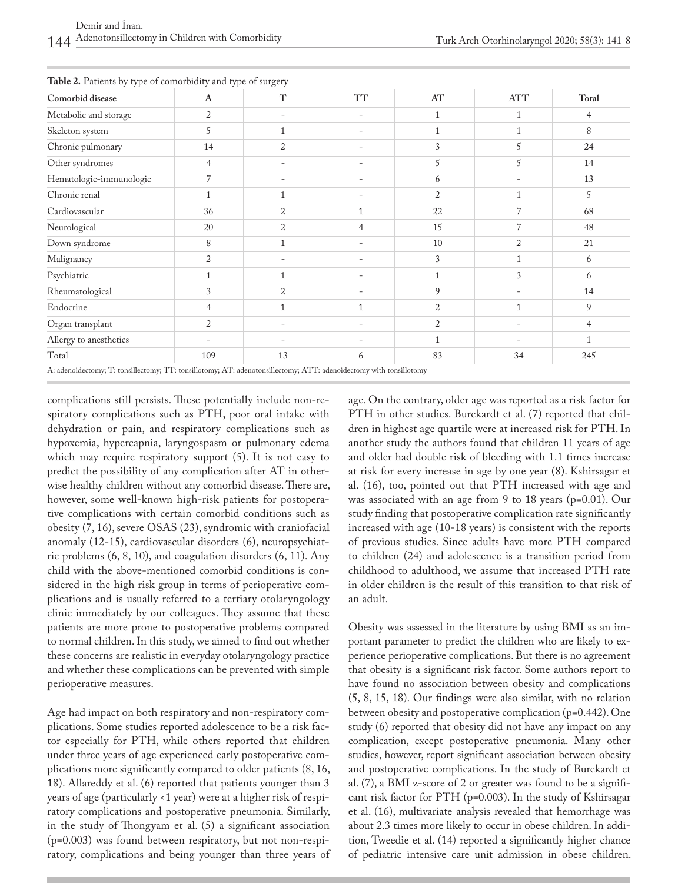| Comorbid disease        | $\mathbf{A}$   | $\mathbf T$    | <b>TT</b>                | AT             | <b>ATT</b>     | Total |
|-------------------------|----------------|----------------|--------------------------|----------------|----------------|-------|
| Metabolic and storage   | 2              |                |                          |                |                | 4     |
| Skeleton system         | 5              |                | $\overline{\phantom{0}}$ |                | 1              | 8     |
| Chronic pulmonary       | 14             | $\overline{2}$ |                          | 3              | 5              | 24    |
| Other syndromes         | $\overline{4}$ | -              |                          | 5              | 5              | 14    |
| Hematologic-immunologic | $\overline{7}$ |                |                          | 6              |                | 13    |
| Chronic renal           | 1              |                |                          | $\overline{2}$ | 1              | 5     |
| Cardiovascular          | 36             | $\overline{2}$ |                          | 22             | 7              | 68    |
| Neurological            | 20             | $\overline{2}$ | 4                        | 15             | 7              | 48    |
| Down syndrome           | 8              |                |                          | 10             | $\overline{2}$ | 21    |
| Malignancy              | $\overline{2}$ |                |                          | 3              |                | 6     |
| Psychiatric             |                |                | $\overline{\phantom{0}}$ |                | 3              | 6     |
| Rheumatological         | 3              | $\overline{2}$ |                          | 9              |                | 14    |
| Endocrine               | $\overline{4}$ |                |                          | 2              |                | 9     |
| Organ transplant        | 2              |                |                          | 2              |                | 4     |
| Allergy to anesthetics  |                |                |                          |                |                |       |
| Total                   | 109            | 13             | 6                        | 83             | 34             | 245   |

**Table 2.** Patients by type of comorbidity and type of surgery

A: adenoidectomy; T: tonsillectomy; TT: tonsillotomy; AT: adenotonsillectomy; ATT: adenoidectomy with tonsillotomy

complications still persists. These potentially include non-respiratory complications such as PTH, poor oral intake with dehydration or pain, and respiratory complications such as hypoxemia, hypercapnia, laryngospasm or pulmonary edema which may require respiratory support (5). It is not easy to predict the possibility of any complication after AT in otherwise healthy children without any comorbid disease. There are, however, some well-known high-risk patients for postoperative complications with certain comorbid conditions such as obesity (7, 16), severe OSAS (23), syndromic with craniofacial anomaly (12-15), cardiovascular disorders (6), neuropsychiatric problems (6, 8, 10), and coagulation disorders (6, 11). Any child with the above-mentioned comorbid conditions is considered in the high risk group in terms of perioperative complications and is usually referred to a tertiary otolaryngology clinic immediately by our colleagues. They assume that these patients are more prone to postoperative problems compared to normal children. In this study, we aimed to find out whether these concerns are realistic in everyday otolaryngology practice and whether these complications can be prevented with simple perioperative measures.

Age had impact on both respiratory and non-respiratory complications. Some studies reported adolescence to be a risk factor especially for PTH, while others reported that children under three years of age experienced early postoperative complications more significantly compared to older patients (8, 16, 18). Allareddy et al. (6) reported that patients younger than 3 years of age (particularly <1 year) were at a higher risk of respiratory complications and postoperative pneumonia. Similarly, in the study of Thongyam et al. (5) a significant association (p=0.003) was found between respiratory, but not non-respiratory, complications and being younger than three years of age. On the contrary, older age was reported as a risk factor for PTH in other studies. Burckardt et al. (7) reported that children in highest age quartile were at increased risk for PTH. In another study the authors found that children 11 years of age and older had double risk of bleeding with 1.1 times increase at risk for every increase in age by one year (8). Kshirsagar et al. (16), too, pointed out that PTH increased with age and was associated with an age from 9 to 18 years (p=0.01). Our study finding that postoperative complication rate significantly increased with age (10-18 years) is consistent with the reports of previous studies. Since adults have more PTH compared to children (24) and adolescence is a transition period from childhood to adulthood, we assume that increased PTH rate in older children is the result of this transition to that risk of an adult.

Obesity was assessed in the literature by using BMI as an important parameter to predict the children who are likely to experience perioperative complications. But there is no agreement that obesity is a significant risk factor. Some authors report to have found no association between obesity and complications (5, 8, 15, 18). Our findings were also similar, with no relation between obesity and postoperative complication (p=0.442). One study (6) reported that obesity did not have any impact on any complication, except postoperative pneumonia. Many other studies, however, report significant association between obesity and postoperative complications. In the study of Burckardt et al. (7), a BMI z-score of 2 or greater was found to be a significant risk factor for PTH (p=0.003). In the study of Kshirsagar et al. (16), multivariate analysis revealed that hemorrhage was about 2.3 times more likely to occur in obese children. In addition, Tweedie et al. (14) reported a significantly higher chance of pediatric intensive care unit admission in obese children.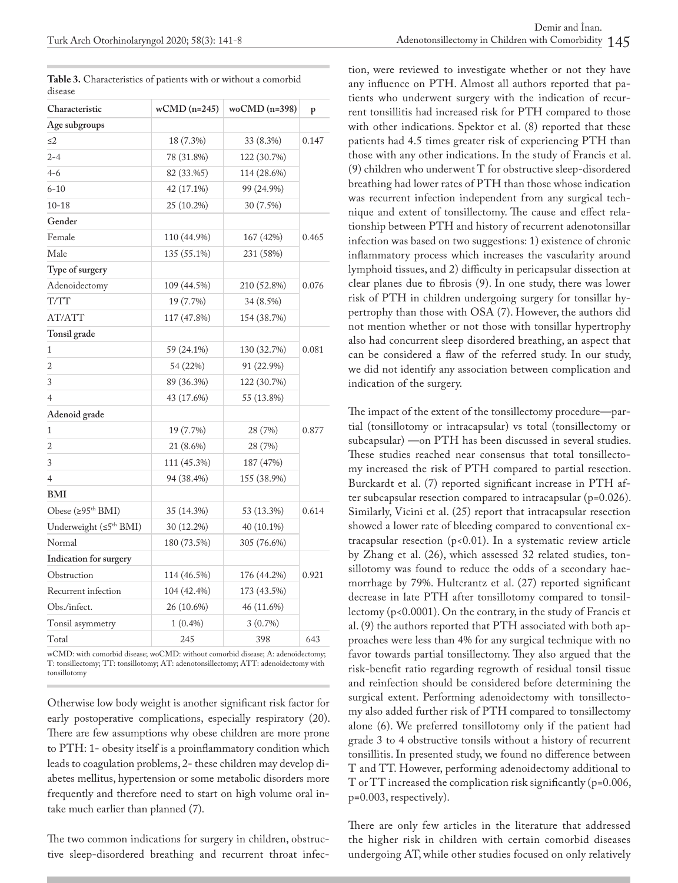|         | Table 3. Characteristics of patients with or without a comorbid |  |
|---------|-----------------------------------------------------------------|--|
| disease |                                                                 |  |

| Characteristic                     | $wCMD$ (n=245) | woCMD (n=398) | p     |  |
|------------------------------------|----------------|---------------|-------|--|
| Age subgroups                      |                |               |       |  |
| $\leq$ 2                           | 18 (7.3%)      | 33 (8.3%)     | 0.147 |  |
| $2 - 4$                            | 78 (31.8%)     | 122 (30.7%)   |       |  |
| $4 - 6$                            | 82 (33.%5)     | 114 (28.6%)   |       |  |
| $6 - 10$                           | 42 (17.1%)     | 99 (24.9%)    |       |  |
| $10 - 18$                          | 25 (10.2%)     | 30 (7.5%)     |       |  |
| Gender                             |                |               |       |  |
| Female                             | 110 (44.9%)    | 167 (42%)     | 0.465 |  |
| Male                               | 135 (55.1%)    | 231 (58%)     |       |  |
| Type of surgery                    |                |               |       |  |
| Adenoidectomy                      | 109 (44.5%)    | 210 (52.8%)   | 0.076 |  |
| T/TT                               | 19 (7.7%)      | 34 (8.5%)     |       |  |
| AT/ATT                             | 117 (47.8%)    | 154 (38.7%)   |       |  |
| Tonsil grade                       |                |               |       |  |
| $\mathbf{1}$                       | 59 (24.1%)     | 130 (32.7%)   | 0.081 |  |
| $\overline{2}$                     | 54 (22%)       | 91 (22.9%)    |       |  |
| 3                                  | 89 (36.3%)     | 122 (30.7%)   |       |  |
| $\overline{4}$                     | 43 (17.6%)     | 55 (13.8%)    |       |  |
| Adenoid grade                      |                |               |       |  |
| 1                                  | 19 (7.7%)      | 28 (7%)       | 0.877 |  |
| $\overline{c}$                     | 21 (8.6%)      | 28 (7%)       |       |  |
| 3                                  | 111 (45.3%)    | 187 (47%)     |       |  |
| $\overline{4}$                     | 94 (38.4%)     | 155 (38.9%)   |       |  |
| <b>BMI</b>                         |                |               |       |  |
| Obese $(295th BMI)$                | 35 (14.3%)     | 53 (13.3%)    | 0.614 |  |
| Underweight (≤5 <sup>th</sup> BMI) | 30 (12.2%)     | 40 (10.1%)    |       |  |
| Normal                             | 180 (73.5%)    | 305 (76.6%)   |       |  |
| Indication for surgery             |                |               |       |  |
| Obstruction                        | 114 (46.5%)    | 176 (44.2%)   | 0.921 |  |
| Recurrent infection                | 104 (42.4%)    | 173 (43.5%)   |       |  |
| Obs./infect.                       | 26 (10.6%)     | 46 (11.6%)    |       |  |
| Tonsil asymmetry                   | $1(0.4\%)$     | 3(0.7%)       |       |  |
| Total                              | 245            | 398           | 643   |  |

wCMD: with comorbid disease; woCMD: without comorbid disease; A: adenoidectomy; T: tonsillectomy; TT: tonsillotomy; AT: adenotonsillectomy; ATT: adenoidectomy with tonsillotomy

Otherwise low body weight is another significant risk factor for early postoperative complications, especially respiratory (20). There are few assumptions why obese children are more prone to PTH: 1- obesity itself is a proinflammatory condition which leads to coagulation problems, 2- these children may develop diabetes mellitus, hypertension or some metabolic disorders more frequently and therefore need to start on high volume oral intake much earlier than planned (7).

The two common indications for surgery in children, obstructive sleep-disordered breathing and recurrent throat infection, were reviewed to investigate whether or not they have any influence on PTH. Almost all authors reported that patients who underwent surgery with the indication of recurrent tonsillitis had increased risk for PTH compared to those with other indications. Spektor et al. (8) reported that these patients had 4.5 times greater risk of experiencing PTH than those with any other indications. In the study of Francis et al. (9) children who underwent T for obstructive sleep-disordered breathing had lower rates of PTH than those whose indication was recurrent infection independent from any surgical technique and extent of tonsillectomy. The cause and effect relationship between PTH and history of recurrent adenotonsillar infection was based on two suggestions: 1) existence of chronic inflammatory process which increases the vascularity around lymphoid tissues, and 2) difficulty in pericapsular dissection at clear planes due to fibrosis (9). In one study, there was lower risk of PTH in children undergoing surgery for tonsillar hypertrophy than those with OSA (7). However, the authors did not mention whether or not those with tonsillar hypertrophy also had concurrent sleep disordered breathing, an aspect that can be considered a flaw of the referred study. In our study, we did not identify any association between complication and indication of the surgery.

The impact of the extent of the tonsillectomy procedure—partial (tonsillotomy or intracapsular) vs total (tonsillectomy or subcapsular) —on PTH has been discussed in several studies. These studies reached near consensus that total tonsillectomy increased the risk of PTH compared to partial resection. Burckardt et al. (7) reported significant increase in PTH after subcapsular resection compared to intracapsular (p=0.026). Similarly, Vicini et al. (25) report that intracapsular resection showed a lower rate of bleeding compared to conventional extracapsular resection  $(p<0.01)$ . In a systematic review article by Zhang et al. (26), which assessed 32 related studies, tonsillotomy was found to reduce the odds of a secondary haemorrhage by 79%. Hultcrantz et al. (27) reported significant decrease in late PTH after tonsillotomy compared to tonsillectomy (p<0.0001). On the contrary, in the study of Francis et al. (9) the authors reported that PTH associated with both approaches were less than 4% for any surgical technique with no favor towards partial tonsillectomy. They also argued that the risk-benefit ratio regarding regrowth of residual tonsil tissue and reinfection should be considered before determining the surgical extent. Performing adenoidectomy with tonsillectomy also added further risk of PTH compared to tonsillectomy alone (6). We preferred tonsillotomy only if the patient had grade 3 to 4 obstructive tonsils without a history of recurrent tonsillitis. In presented study, we found no difference between T and TT. However, performing adenoidectomy additional to T or TT increased the complication risk significantly (p=0.006, p=0.003, respectively).

There are only few articles in the literature that addressed the higher risk in children with certain comorbid diseases undergoing AT, while other studies focused on only relatively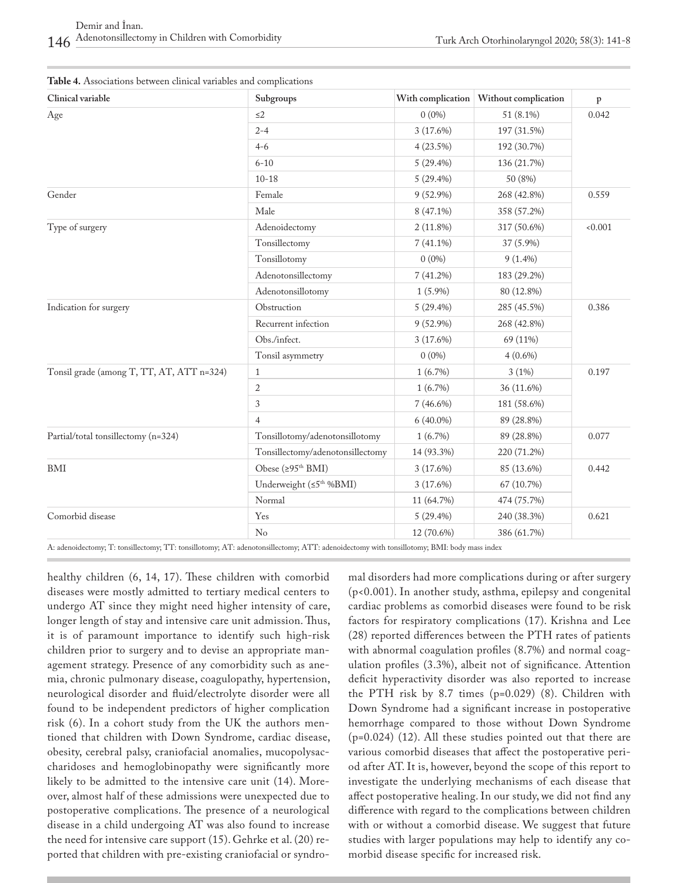| Clinical variable                         | Subgroups                           |             | With complication   Without complication | $\mathbf{p}$ |  |
|-------------------------------------------|-------------------------------------|-------------|------------------------------------------|--------------|--|
| Age                                       | $\leq 2$                            | $0(0\%)$    | 51 (8.1%)                                | 0.042        |  |
|                                           | $2 - 4$                             | $3(17.6\%)$ | 197 (31.5%)                              |              |  |
|                                           | $4 - 6$                             | 4(23.5%)    | 192 (30.7%)                              |              |  |
|                                           | $6 - 10$                            | $5(29.4\%)$ | 136 (21.7%)                              |              |  |
|                                           | $10 - 18$                           | $5(29.4\%)$ | 50 (8%)                                  |              |  |
| Gender                                    | Female                              | $9(52.9\%)$ | 268 (42.8%)                              | 0.559        |  |
|                                           | Male                                | 8 (47.1%)   | 358 (57.2%)                              |              |  |
| Type of surgery                           | Adenoidectomy                       | $2(11.8\%)$ | 317 (50.6%)                              | < 0.001      |  |
|                                           | Tonsillectomy                       | $7(41.1\%)$ | 37 (5.9%)                                |              |  |
|                                           | Tonsillotomy                        | $0(0\%)$    | $9(1.4\%)$                               |              |  |
|                                           | Adenotonsillectomy                  | 7(41.2%)    | 183 (29.2%)                              |              |  |
|                                           | Adenotonsillotomy                   | $1(5.9\%)$  | 80 (12.8%)                               |              |  |
| Indication for surgery                    | Obstruction                         | $5(29.4\%)$ | 285 (45.5%)                              | 0.386        |  |
|                                           | Recurrent infection                 | $9(52.9\%)$ | 268 (42.8%)                              |              |  |
|                                           | Obs./infect.                        | $3(17.6\%)$ | 69 (11%)                                 |              |  |
|                                           | Tonsil asymmetry                    | $0(0\%)$    | $4(0.6\%)$                               |              |  |
| Tonsil grade (among T, TT, AT, ATT n=324) | $\mathbf{1}$                        | 1(6.7%)     | 3(1%)                                    | 0.197        |  |
|                                           | $\mathbf{2}$                        | $1(6.7\%)$  | 36 (11.6%)                               |              |  |
|                                           | 3                                   | $7(46.6\%)$ | 181 (58.6%)                              |              |  |
|                                           | $\overline{4}$                      | $6(40.0\%)$ | 89 (28.8%)                               |              |  |
| Partial/total tonsillectomy (n=324)       | Tonsillotomy/adenotonsillotomy      | $1(6.7\%)$  | 89 (28.8%)                               | 0.077        |  |
|                                           | Tonsillectomy/adenotonsillectomy    | 14 (93.3%)  | 220 (71.2%)                              |              |  |
| BMI                                       | Obese (≥95 <sup>th</sup> BMI)       | 3(17.6%)    | 85 (13.6%)                               | 0.442        |  |
|                                           | Underweight (≤5 <sup>th %BMI)</sup> | $3(17.6\%)$ | 67 (10.7%)                               |              |  |
|                                           | Normal                              | 11 (64.7%)  | 474 (75.7%)                              |              |  |
| Comorbid disease                          | Yes                                 | $5(29.4\%)$ | 240 (38.3%)                              | 0.621        |  |
|                                           | No                                  | 12 (70.6%)  | 386 (61.7%)                              |              |  |

| <b>Table 4.</b> Associations between clinical variables and complications |
|---------------------------------------------------------------------------|
|---------------------------------------------------------------------------|

A: adenoidectomy; T: tonsillectomy; TT: tonsillotomy; AT: adenotonsillectomy; ATT: adenoidectomy with tonsillotomy; BMI: body mass index

healthy children (6, 14, 17). These children with comorbid diseases were mostly admitted to tertiary medical centers to undergo AT since they might need higher intensity of care, longer length of stay and intensive care unit admission. Thus, it is of paramount importance to identify such high-risk children prior to surgery and to devise an appropriate management strategy. Presence of any comorbidity such as anemia, chronic pulmonary disease, coagulopathy, hypertension, neurological disorder and fluid/electrolyte disorder were all found to be independent predictors of higher complication risk (6). In a cohort study from the UK the authors mentioned that children with Down Syndrome, cardiac disease, obesity, cerebral palsy, craniofacial anomalies, mucopolysaccharidoses and hemoglobinopathy were significantly more likely to be admitted to the intensive care unit (14). Moreover, almost half of these admissions were unexpected due to postoperative complications. The presence of a neurological disease in a child undergoing AT was also found to increase the need for intensive care support (15). Gehrke et al. (20) reported that children with pre-existing craniofacial or syndromal disorders had more complications during or after surgery (p<0.001). In another study, asthma, epilepsy and congenital cardiac problems as comorbid diseases were found to be risk factors for respiratory complications (17). Krishna and Lee (28) reported differences between the PTH rates of patients with abnormal coagulation profiles (8.7%) and normal coagulation profiles (3.3%), albeit not of significance. Attention deficit hyperactivity disorder was also reported to increase the PTH risk by 8.7 times (p=0.029) (8). Children with Down Syndrome had a significant increase in postoperative hemorrhage compared to those without Down Syndrome (p=0.024) (12). All these studies pointed out that there are various comorbid diseases that affect the postoperative period after AT. It is, however, beyond the scope of this report to investigate the underlying mechanisms of each disease that affect postoperative healing. In our study, we did not find any difference with regard to the complications between children with or without a comorbid disease. We suggest that future studies with larger populations may help to identify any comorbid disease specific for increased risk.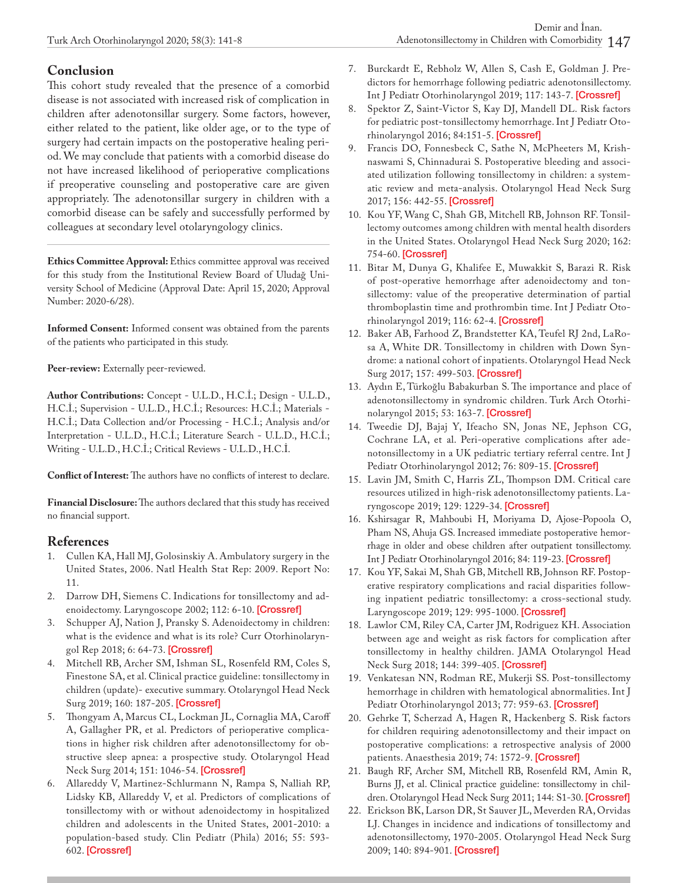## **Conclusion**

This cohort study revealed that the presence of a comorbid disease is not associated with increased risk of complication in children after adenotonsillar surgery. Some factors, however, either related to the patient, like older age, or to the type of surgery had certain impacts on the postoperative healing period. We may conclude that patients with a comorbid disease do not have increased likelihood of perioperative complications if preoperative counseling and postoperative care are given appropriately. The adenotonsillar surgery in children with a comorbid disease can be safely and successfully performed by colleagues at secondary level otolaryngology clinics.

**Ethics Committee Approval:** Ethics committee approval was received for this study from the Institutional Review Board of Uludağ University School of Medicine (Approval Date: April 15, 2020; Approval Number: 2020-6/28).

**Informed Consent:** Informed consent was obtained from the parents of the patients who participated in this study.

**Peer-review:** Externally peer-reviewed.

**Author Contributions:** Concept - U.L.D., H.C.İ.; Design - U.L.D., H.C.İ.; Supervision - U.L.D., H.C.İ.; Resources: H.C.İ.; Materials - H.C.İ.; Data Collection and/or Processing - H.C.İ.; Analysis and/or Interpretation - U.L.D., H.C.İ.; Literature Search - U.L.D., H.C.İ.; Writing - U.L.D., H.C.İ.; Critical Reviews - U.L.D., H.C.İ.

**Conflict of Interest:** The authors have no conflicts of interest to declare.

**Financial Disclosure:** The authors declared that this study has received no financial support.

# **References**

- 1. Cullen KA, Hall MJ, Golosinskiy A. Ambulatory surgery in the United States, 2006. Natl Health Stat Rep: 2009. Report No: 11.
- 2. Darrow DH, Siemens C. Indications for tonsillectomy and adenoidectomy. Laryngoscope 2002; 112: 6-10. [[Crossref\]](https://doi.org/10.1097/00005537-200208001-00004)
- 3. Schupper AJ, Nation J, Pransky S. Adenoidectomy in children: what is the evidence and what is its role? Curr Otorhinolaryngol Rep 2018; 6: 64-73. [[Crossref\]](https://doi.org/10.1007/s40136-018-0190-8)
- 4. Mitchell RB, Archer SM, Ishman SL, Rosenfeld RM, Coles S, Finestone SA, et al. Clinical practice guideline: tonsillectomy in children (update)- executive summary. Otolaryngol Head Neck Surg 2019; 160: 187-205. [[Crossref\]](https://doi.org/10.1177/0194599818807917)
- 5. Thongyam A, Marcus CL, Lockman JL, Cornaglia MA, Caroff A, Gallagher PR, et al. Predictors of perioperative complications in higher risk children after adenotonsillectomy for obstructive sleep apnea: a prospective study. Otolaryngol Head Neck Surg 2014; 151: 1046-54. [\[Crossref](https://doi.org/10.1177/0194599814552059)]
- 6. Allareddy V, Martinez-Schlurmann N, Rampa S, Nalliah RP, Lidsky KB, Allareddy V, et al. Predictors of complications of tonsillectomy with or without adenoidectomy in hospitalized children and adolescents in the United States, 2001-2010: a population-based study. Clin Pediatr (Phila) 2016; 55: 593- 602. [[Crossref\]](https://doi.org/10.1177/0009922815616885)
- 7. Burckardt E, Rebholz W, Allen S, Cash E, Goldman J. Predictors for hemorrhage following pediatric adenotonsillectomy. Int J Pediatr Otorhinolaryngol 2019; 117: 143-7. [\[Crossref](https://doi.org/10.1016/j.ijporl.2018.11.029)]
- 8. Spektor Z, Saint-Victor S, Kay DJ, Mandell DL. Risk factors for pediatric post-tonsillectomy hemorrhage. Int J Pediatr Otorhinolaryngol 2016; 84:151-5. [[Crossref\]](https://doi.org/10.1016/j.ijporl.2016.03.005)
- 9. Francis DO, Fonnesbeck C, Sathe N, McPheeters M, Krishnaswami S, Chinnadurai S. Postoperative bleeding and associated utilization following tonsillectomy in children: a systematic review and meta-analysis. Otolaryngol Head Neck Surg 2017; 156: 442-55. [[Crossref\]](https://doi.org/10.1177/0194599816683915)
- 10. Kou YF, Wang C, Shah GB, Mitchell RB, Johnson RF. Tonsillectomy outcomes among children with mental health disorders in the United States. Otolaryngol Head Neck Surg 2020; 162: 754-60. [\[Crossref](https://doi.org/10.1177/0194599820910115)]
- 11. Bitar M, Dunya G, Khalifee E, Muwakkit S, Barazi R. Risk of post-operative hemorrhage after adenoidectomy and tonsillectomy: value of the preoperative determination of partial thromboplastin time and prothrombin time. Int J Pediatr Otorhinolaryngol 2019; 116: 62-4. [\[Crossref](https://doi.org/10.1016/j.ijporl.2018.10.024)]
- 12. Baker AB, Farhood Z, Brandstetter KA, Teufel RJ 2nd, LaRosa A, White DR. Tonsillectomy in children with Down Syndrome: a national cohort of inpatients. Otolaryngol Head Neck Surg 2017; 157: 499-503. [\[Crossref](https://doi.org/10.1177/0194599817711377)]
- 13. Aydın E, Türkoğlu Babakurban S. The importance and place of adenotonsillectomy in syndromic children. Turk Arch Otorhinolaryngol 2015; 53: 163-7. [\[Crossref](https://doi.org/10.5152/tao.2015.1348)]
- 14. Tweedie DJ, Bajaj Y, Ifeacho SN, Jonas NE, Jephson CG, Cochrane LA, et al. Peri-operative complications after adenotonsillectomy in a UK pediatric tertiary referral centre. Int J Pediatr Otorhinolaryngol 2012; 76: 809-15. [[Crossref\]](https://doi.org/10.1016/j.ijporl.2012.02.048)
- 15. Lavin JM, Smith C, Harris ZL, Thompson DM. Critical care resources utilized in high-risk adenotonsillectomy patients. Laryngoscope 2019; 129: 1229-34. [\[Crossref](https://doi.org/10.1002/lary.27623)]
- 16. Kshirsagar R, Mahboubi H, Moriyama D, Ajose-Popoola O, Pham NS, Ahuja GS. Increased immediate postoperative hemorrhage in older and obese children after outpatient tonsillectomy. Int J Pediatr Otorhinolaryngol 2016; 84: 119-23. [\[Crossref](https://doi.org/10.1016/j.ijporl.2016.02.019)]
- 17. Kou YF, Sakai M, Shah GB, Mitchell RB, Johnson RF. Postoperative respiratory complications and racial disparities following inpatient pediatric tonsillectomy: a cross-sectional study. Laryngoscope 2019; 129: 995-1000. [\[Crossref](https://doi.org/10.1002/lary.27405)]
- 18. Lawlor CM, Riley CA, Carter JM, Rodriguez KH. Association between age and weight as risk factors for complication after tonsillectomy in healthy children. JAMA Otolaryngol Head Neck Surg 2018; 144: 399-405. [[Crossref\]](https://doi.org/10.1001/jamaoto.2017.3431)
- 19. Venkatesan NN, Rodman RE, Mukerji SS. Post-tonsillectomy hemorrhage in children with hematological abnormalities. Int J Pediatr Otorhinolaryngol 2013; 77: 959-63. [[Crossref\]](https://doi.org/10.1016/j.ijporl.2013.03.017)
- 20. Gehrke T, Scherzad A, Hagen R, Hackenberg S. Risk factors for children requiring adenotonsillectomy and their impact on postoperative complications: a retrospective analysis of 2000 patients. Anaesthesia 2019; 74: 1572-9. [[Crossref\]](https://doi.org/10.1111/anae.14844)
- 21. Baugh RF, Archer SM, Mitchell RB, Rosenfeld RM, Amin R, Burns JJ, et al. Clinical practice guideline: tonsillectomy in chil-dren. Otolaryngol Head Neck Surg 2011; 144: S1-30. [[Crossref\]](https://doi.org/10.1177/0194599810389949)
- 22. Erickson BK, Larson DR, St Sauver JL, Meverden RA, Orvidas LJ. Changes in incidence and indications of tonsillectomy and adenotonsillectomy, 1970-2005. Otolaryngol Head Neck Surg 2009; 140: 894-901. [\[Crossref](https://doi.org/10.1016/j.otohns.2009.01.044)]